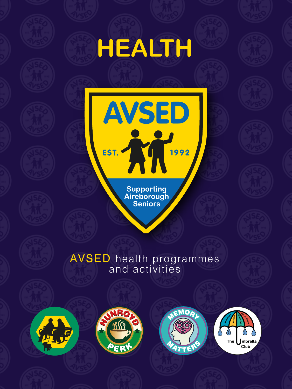## **HEALTH**

Supporting<br>Aireborough<br>Seniors

**AVSED** 

EST.

1992

## AVSED health programmes and activities